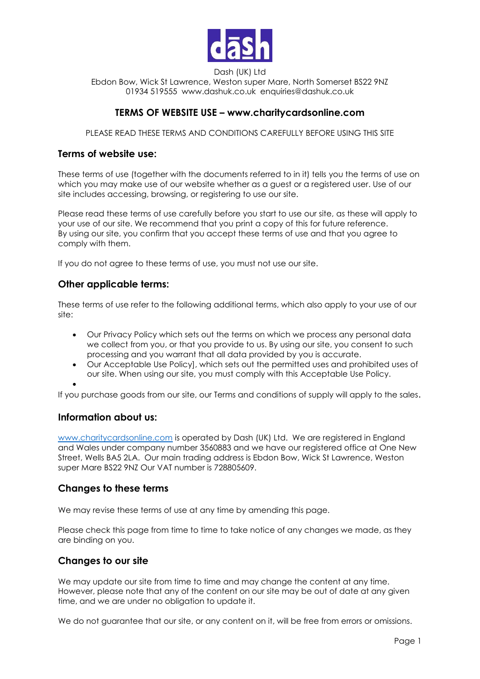

Dash (UK) Ltd Ebdon Bow, Wick St Lawrence, Weston super Mare, North Somerset BS22 9NZ 01934 519555 www.dashuk.co.uk enquiries@dashuk.co.uk

## **TERMS OF WEBSITE USE – www.charitycardsonline.com**

PLEASE READ THESE TERMS AND CONDITIONS CAREFULLY BEFORE USING THIS SITE

#### **Terms of website use:**

These terms of use (together with the documents referred to in it) tells you the terms of use on which you may make use of our website whether as a guest or a registered user. Use of our site includes accessing, browsing, or registering to use our site.

Please read these terms of use carefully before you start to use our site, as these will apply to your use of our site. We recommend that you print a copy of this for future reference. By using our site, you confirm that you accept these terms of use and that you agree to comply with them.

If you do not agree to these terms of use, you must not use our site.

#### **Other applicable terms:**

These terms of use refer to the following additional terms, which also apply to your use of our site:

- Our Privacy Policy which sets out the terms on which we process any personal data we collect from you, or that you provide to us. By using our site, you consent to such processing and you warrant that all data provided by you is accurate.
- Our Acceptable Use Policy], which sets out the permitted uses and prohibited uses of our site. When using our site, you must comply with this Acceptable Use Policy.

If you purchase goods from our site, our Terms and conditions of supply will apply to the sales.

#### **Information about us:**

•

[www.charitycardsonline.com](http://www.charitycardsonline.com/) is operated by Dash (UK) Ltd. We are registered in England and Wales under company number 3560883 and we have our registered office at One New Street, Wells BA5 2LA. Our main trading address is Ebdon Bow, Wick St Lawrence, Weston super Mare BS22 9NZ Our VAT number is 728805609.

#### **Changes to these terms**

We may revise these terms of use at any time by amending this page.

Please check this page from time to time to take notice of any changes we made, as they are binding on you.

#### **Changes to our site**

We may update our site from time to time and may change the content at any time. However, please note that any of the content on our site may be out of date at any given time, and we are under no obligation to update it.

We do not guarantee that our site, or any content on it, will be free from errors or omissions.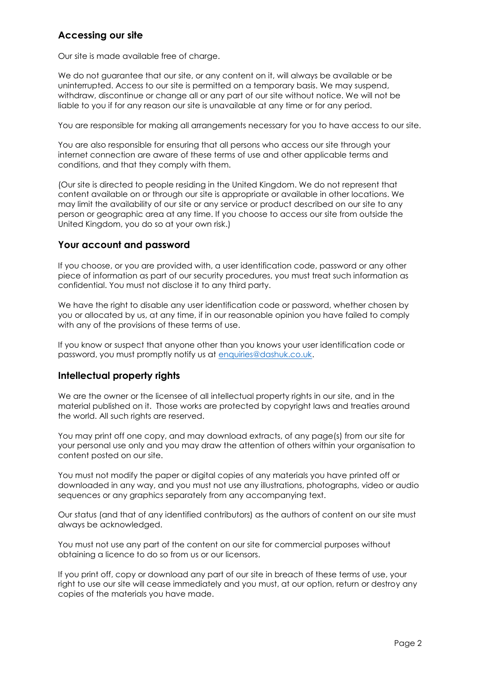# **Accessing our site**

Our site is made available free of charge.

We do not guarantee that our site, or any content on it, will always be available or be uninterrupted. Access to our site is permitted on a temporary basis. We may suspend, withdraw, discontinue or change all or any part of our site without notice. We will not be liable to you if for any reason our site is unavailable at any time or for any period.

You are responsible for making all arrangements necessary for you to have access to our site.

You are also responsible for ensuring that all persons who access our site through your internet connection are aware of these terms of use and other applicable terms and conditions, and that they comply with them.

(Our site is directed to people residing in the United Kingdom. We do not represent that content available on or through our site is appropriate or available in other locations. We may limit the availability of our site or any service or product described on our site to any person or geographic area at any time. If you choose to access our site from outside the United Kingdom, you do so at your own risk.)

#### **Your account and password**

If you choose, or you are provided with, a user identification code, password or any other piece of information as part of our security procedures, you must treat such information as confidential. You must not disclose it to any third party.

We have the right to disable any user identification code or password, whether chosen by you or allocated by us, at any time, if in our reasonable opinion you have failed to comply with any of the provisions of these terms of use.

If you know or suspect that anyone other than you knows your user identification code or password, you must promptly notify us at [enquiries@dashuk.co.uk.](mailto:enquiries@dashuk.co.uk)

### **Intellectual property rights**

We are the owner or the licensee of all intellectual property rights in our site, and in the material published on it. Those works are protected by copyright laws and treaties around the world. All such rights are reserved.

You may print off one copy, and may download extracts, of any page(s) from our site for your personal use only and you may draw the attention of others within your organisation to content posted on our site.

You must not modify the paper or digital copies of any materials you have printed off or downloaded in any way, and you must not use any illustrations, photographs, video or audio sequences or any graphics separately from any accompanying text.

Our status (and that of any identified contributors) as the authors of content on our site must always be acknowledged.

You must not use any part of the content on our site for commercial purposes without obtaining a licence to do so from us or our licensors.

If you print off, copy or download any part of our site in breach of these terms of use, your right to use our site will cease immediately and you must, at our option, return or destroy any copies of the materials you have made.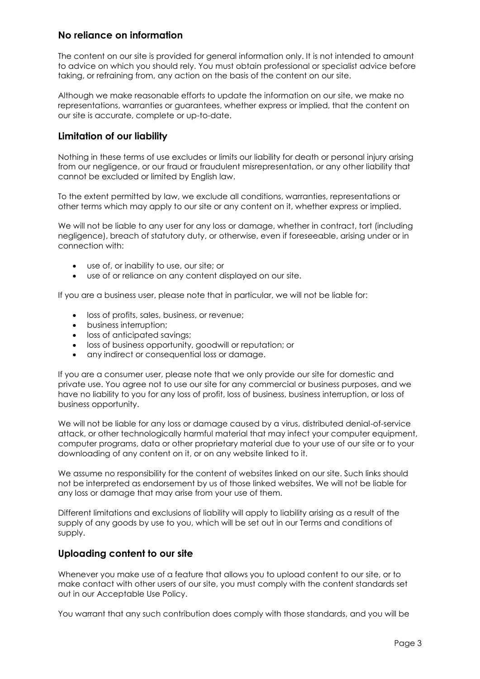### **No reliance on information**

The content on our site is provided for general information only. It is not intended to amount to advice on which you should rely. You must obtain professional or specialist advice before taking, or refraining from, any action on the basis of the content on our site.

Although we make reasonable efforts to update the information on our site, we make no representations, warranties or guarantees, whether express or implied, that the content on our site is accurate, complete or up-to-date.

### **Limitation of our liability**

Nothing in these terms of use excludes or limits our liability for death or personal injury arising from our negligence, or our fraud or fraudulent misrepresentation, or any other liability that cannot be excluded or limited by English law.

To the extent permitted by law, we exclude all conditions, warranties, representations or other terms which may apply to our site or any content on it, whether express or implied.

We will not be liable to any user for any loss or damage, whether in contract, tort (including negligence), breach of statutory duty, or otherwise, even if foreseeable, arising under or in connection with:

- use of, or inability to use, our site; or
- use of or reliance on any content displayed on our site.

If you are a business user, please note that in particular, we will not be liable for:

- loss of profits, sales, business, or revenue;
- business interruption;
- loss of anticipated savings:
- loss of business opportunity, goodwill or reputation; or
- any indirect or consequential loss or damage.

If you are a consumer user, please note that we only provide our site for domestic and private use. You agree not to use our site for any commercial or business purposes, and we have no liability to you for any loss of profit, loss of business, business interruption, or loss of business opportunity.

We will not be liable for any loss or damage caused by a virus, distributed denial-of-service attack, or other technologically harmful material that may infect your computer equipment, computer programs, data or other proprietary material due to your use of our site or to your downloading of any content on it, or on any website linked to it.

We assume no responsibility for the content of websites linked on our site. Such links should not be interpreted as endorsement by us of those linked websites. We will not be liable for any loss or damage that may arise from your use of them.

Different limitations and exclusions of liability will apply to liability arising as a result of the supply of any goods by use to you, which will be set out in our Terms and conditions of supply.

### **Uploading content to our site**

Whenever you make use of a feature that allows you to upload content to our site, or to make contact with other users of our site, you must comply with the content standards set out in our Acceptable Use Policy.

You warrant that any such contribution does comply with those standards, and you will be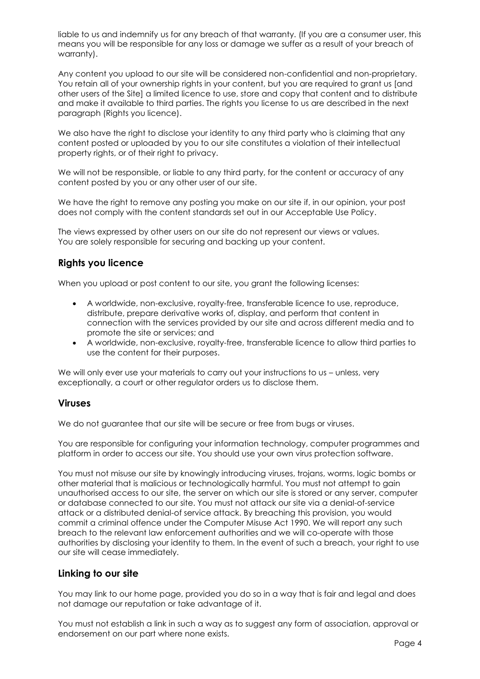liable to us and indemnify us for any breach of that warranty. (If you are a consumer user, this means you will be responsible for any loss or damage we suffer as a result of your breach of warranty).

Any content you upload to our site will be considered non-confidential and non-proprietary. You retain all of your ownership rights in your content, but you are required to grant us [and other users of the Site] a limited licence to use, store and copy that content and to distribute and make it available to third parties. The rights you license to us are described in the next paragraph (Rights you licence).

We also have the right to disclose your identity to any third party who is claiming that any content posted or uploaded by you to our site constitutes a violation of their intellectual property rights, or of their right to privacy.

We will not be responsible, or liable to any third party, for the content or accuracy of any content posted by you or any other user of our site.

We have the right to remove any posting you make on our site if, in our opinion, your post does not comply with the content standards set out in our Acceptable Use Policy.

The views expressed by other users on our site do not represent our views or values. You are solely responsible for securing and backing up your content.

### **Rights you licence**

When you upload or post content to our site, you grant the following licenses:

- A worldwide, non-exclusive, royalty-free, transferable licence to use, reproduce, distribute, prepare derivative works of, display, and perform that content in connection with the services provided by our site and across different media and to promote the site or services; and
- A worldwide, non-exclusive, royalty-free, transferable licence to allow third parties to use the content for their purposes.

We will only ever use your materials to carry out your instructions to us – unless, very exceptionally, a court or other regulator orders us to disclose them.

#### **Viruses**

We do not guarantee that our site will be secure or free from bugs or viruses.

You are responsible for configuring your information technology, computer programmes and platform in order to access our site. You should use your own virus protection software.

You must not misuse our site by knowingly introducing viruses, trojans, worms, logic bombs or other material that is malicious or technologically harmful. You must not attempt to gain unauthorised access to our site, the server on which our site is stored or any server, computer or database connected to our site. You must not attack our site via a denial-of-service attack or a distributed denial-of service attack. By breaching this provision, you would commit a criminal offence under the Computer Misuse Act 1990. We will report any such breach to the relevant law enforcement authorities and we will co-operate with those authorities by disclosing your identity to them. In the event of such a breach, your right to use our site will cease immediately.

### **Linking to our site**

You may link to our home page, provided you do so in a way that is fair and legal and does not damage our reputation or take advantage of it.

You must not establish a link in such a way as to suggest any form of association, approval or endorsement on our part where none exists.